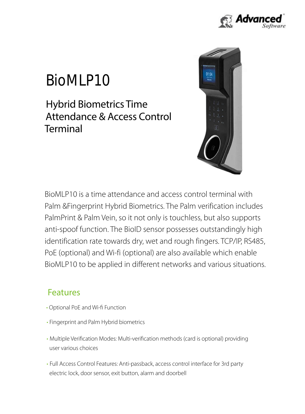

# BioMLP10

Terminal Attendance & Access Control Hybrid Biometrics Time



BioMLP10 to be applied in different networks and various situations. PoE (optional) and Wi-fi (optional) are also available which enable identification rate towards dry, wet and rough fingers. TCP/IP, RS485, anti-spoof function. The BioID sensor possesses outstandingly high PalmPrint & Palm Vein, so it not only is touchless, but also supports Palm &Fingerprint Hybrid Biometrics. The Palm verification includes BioMLP10 is a time attendance and access control terminal with

#### Features

- Optional PoE and Wi-fi Function
- Fingerprint and Palm Hybrid biometrics
- user various choices • Multiple Verification Modes: Multi-verification methods (card is optional) providing
- electric lock, door sensor, exit button, alarm and doorbell • Full Access Control Features: Anti-passback, access control interface for 3rd party